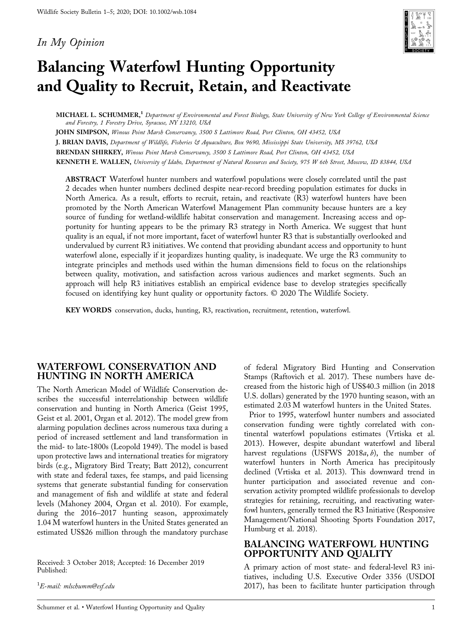# In My Opinion



# Balancing Waterfowl Hunting Opportunity and Quality to Recruit, Retain, and Reactivate

MICHAEL L. SCHUMMER,<sup>1</sup> Department of Environmental and Forest Biology, State University of New York College of Environmental Science and Forestry, 1 Forestry Drive, Syracuse, NY 13210, USA

JOHN SIMPSON, Winous Point Marsh Conservancy, 3500 S Lattimore Road, Port Clinton, OH 43452, USA J. BRIAN DAVIS, Department of Wildlife, Fisheries & Aquaculture, Box 9690, Mississippi State University, MS 39762, USA BRENDAN SHIRKEY, Winous Point Marsh Conservancy, 3500 S Lattimore Road, Port Clinton, OH 43452, USA KENNETH E. WALLEN, University of Idaho, Department of Natural Resources and Society, 975 W 6th Street, Moscow, ID 83844, USA

ABSTRACT Waterfowl hunter numbers and waterfowl populations were closely correlated until the past 2 decades when hunter numbers declined despite near‐record breeding population estimates for ducks in North America. As a result, efforts to recruit, retain, and reactivate (R3) waterfowl hunters have been promoted by the North American Waterfowl Management Plan community because hunters are a key source of funding for wetland-wildlife habitat conservation and management. Increasing access and opportunity for hunting appears to be the primary R3 strategy in North America. We suggest that hunt quality is an equal, if not more important, facet of waterfowl hunter R3 that is substantially overlooked and undervalued by current R3 initiatives. We contend that providing abundant access and opportunity to hunt waterfowl alone, especially if it jeopardizes hunting quality, is inadequate. We urge the R3 community to integrate principles and methods used within the human dimensions field to focus on the relationships between quality, motivation, and satisfaction across various audiences and market segments. Such an approach will help R3 initiatives establish an empirical evidence base to develop strategies specifically focused on identifying key hunt quality or opportunity factors. © 2020 The Wildlife Society.

KEY WORDS conservation, ducks, hunting, R3, reactivation, recruitment, retention, waterfowl.

#### WATERFOWL CONSERVATION AND HUNTING IN NORTH AMERICA

The North American Model of Wildlife Conservation describes the successful interrelationship between wildlife conservation and hunting in North America (Geist 1995, Geist et al. 2001, Organ et al. 2012). The model grew from alarming population declines across numerous taxa during a period of increased settlement and land transformation in the mid‐ to late‐1800s (Leopold 1949). The model is based upon protective laws and international treaties for migratory birds (e.g., Migratory Bird Treaty; Batt 2012), concurrent with state and federal taxes, fee stamps, and paid licensing systems that generate substantial funding for conservation and management of fish and wildlife at state and federal levels (Mahoney 2004, Organ et al. 2010). For example, during the 2016–2017 hunting season, approximately 1.04 M waterfowl hunters in the United States generated an estimated US\$26 million through the mandatory purchase

Received: 3 October 2018; Accepted: 16 December 2019 Published:

 $^1E\mbox{-}$ mail: [mlschumm@esf.edu](mailto:mlschumm@esf.edu)

of federal Migratory Bird Hunting and Conservation Stamps (Raftovich et al. 2017). These numbers have decreased from the historic high of US\$40.3 million (in 2018 U.S. dollars) generated by the 1970 hunting season, with an estimated 2.03 M waterfowl hunters in the United States.

Prior to 1995, waterfowl hunter numbers and associated conservation funding were tightly correlated with continental waterfowl populations estimates (Vrtiska et al. 2013). However, despite abundant waterfowl and liberal harvest regulations (USFWS 2018a, b), the number of waterfowl hunters in North America has precipitously declined (Vrtiska et al. 2013). This downward trend in hunter participation and associated revenue and conservation activity prompted wildlife professionals to develop strategies for retaining, recruiting, and reactivating waterfowl hunters, generally termed the R3 Initiative (Responsive Management/National Shooting Sports Foundation 2017, Humburg et al. 2018).

#### BALANCING WATERFOWL HUNTING OPPORTUNITY AND QUALITY

A primary action of most state‐ and federal‐level R3 initiatives, including U.S. Executive Order 3356 (USDOI 2017), has been to facilitate hunter participation through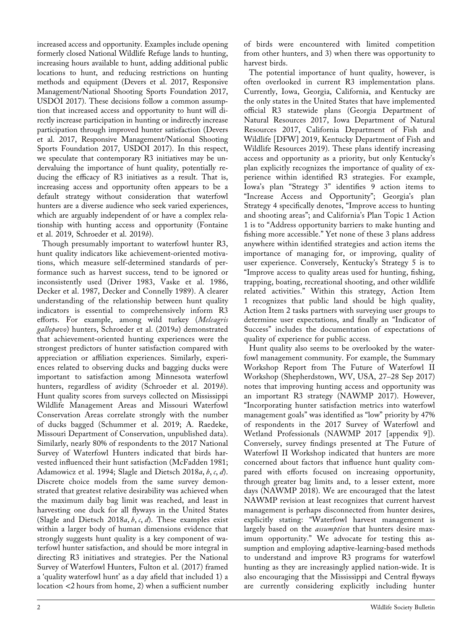increased access and opportunity. Examples include opening formerly closed National Wildlife Refuge lands to hunting, increasing hours available to hunt, adding additional public locations to hunt, and reducing restrictions on hunting methods and equipment (Devers et al. 2017, Responsive Management/National Shooting Sports Foundation 2017, USDOI 2017). These decisions follow a common assumption that increased access and opportunity to hunt will directly increase participation in hunting or indirectly increase participation through improved hunter satisfaction (Devers et al. 2017, Responsive Management/National Shooting Sports Foundation 2017, USDOI 2017). In this respect, we speculate that contemporary R3 initiatives may be undervaluing the importance of hunt quality, potentially reducing the efficacy of R3 initiatives as a result. That is, increasing access and opportunity often appears to be a default strategy without consideration that waterfowl hunters are a diverse audience who seek varied experiences, which are arguably independent of or have a complex relationship with hunting access and opportunity (Fontaine et al. 2019, Schroeder et al. 2019b).

Though presumably important to waterfowl hunter R3, hunt quality indicators like achievement-oriented motivations, which measure self‐determined standards of performance such as harvest success, tend to be ignored or inconsistently used (Driver 1983, Vaske et al. 1986, Decker et al. 1987, Decker and Connelly 1989). A clearer understanding of the relationship between hunt quality indicators is essential to comprehensively inform R3 efforts. For example, among wild turkey (Meleagris gallopavo) hunters, Schroeder et al. (2019a) demonstrated that achievement‐oriented hunting experiences were the strongest predictors of hunter satisfaction compared with appreciation or affiliation experiences. Similarly, experiences related to observing ducks and bagging ducks were important to satisfaction among Minnesota waterfowl hunters, regardless of avidity (Schroeder et al. 2019b). Hunt quality scores from surveys collected on Mississippi Wildlife Management Areas and Missouri Waterfowl Conservation Areas correlate strongly with the number of ducks bagged (Schummer et al. 2019; A. Raedeke, Missouri Department of Conservation, unpublished data). Similarly, nearly 80% of respondents to the 2017 National Survey of Waterfowl Hunters indicated that birds harvested influenced their hunt satisfaction (McFadden 1981; Adamowicz et al. 1994; Slagle and Dietsch 2018a, b, c, d). Discrete choice models from the same survey demonstrated that greatest relative desirability was achieved when the maximum daily bag limit was reached, and least in harvesting one duck for all flyways in the United States (Slagle and Dietsch 2018a, b, c, d). These examples exist within a larger body of human dimensions evidence that strongly suggests hunt quality is a key component of waterfowl hunter satisfaction, and should be more integral in directing R3 initiatives and strategies. Per the National Survey of Waterfowl Hunters, Fulton et al. (2017) framed a 'quality waterfowl hunt' as a day afield that included 1) a location <2 hours from home, 2) when a sufficient number

The potential importance of hunt quality, however, is often overlooked in current R3 implementation plans. Currently, Iowa, Georgia, California, and Kentucky are the only states in the United States that have implemented official R3 statewide plans (Georgia Department of Natural Resources 2017, Iowa Department of Natural Resources 2017, California Department of Fish and Wildlife [DFW] 2019, Kentucky Department of Fish and Wildlife Resources 2019). These plans identify increasing access and opportunity as a priority, but only Kentucky's plan explicitly recognizes the importance of quality of experience within identified R3 strategies. For example, Iowa's plan "Strategy 3" identifies 9 action items to "Increase Access and Opportunity"; Georgia's plan Strategy 4 specifically denotes, "Improve access to hunting and shooting areas"; and California's Plan Topic 1 Action 1 is to "Address opportunity barriers to make hunting and fishing more accessible." Yet none of these 3 plans address anywhere within identified strategies and action items the importance of managing for, or improving, quality of user experience. Conversely, Kentucky's Strategy 5 is to "Improve access to quality areas used for hunting, fishing, trapping, boating, recreational shooting, and other wildlife related activities." Within this strategy, Action Item 1 recognizes that public land should be high quality, Action Item 2 tasks partners with surveying user groups to determine user expectations, and finally an "Indicator of Success" includes the documentation of expectations of quality of experience for public access.

Hunt quality also seems to be overlooked by the waterfowl management community. For example, the Summary Workshop Report from The Future of Waterfowl II Workshop (Shepherdstown, WV, USA, 27–28 Sep 2017) notes that improving hunting access and opportunity was an important R3 strategy (NAWMP 2017). However, "Incorporating hunter satisfaction metrics into waterfowl management goals" was identified as "low" priority by 47% of respondents in the 2017 Survey of Waterfowl and Wetland Professionals (NAWMP 2017 [appendix 9]). Conversely, survey findings presented at The Future of Waterfowl II Workshop indicated that hunters are more concerned about factors that influence hunt quality compared with efforts focused on increasing opportunity, through greater bag limits and, to a lesser extent, more days (NAWMP 2018). We are encouraged that the latest NAWMP revision at least recognizes that current harvest management is perhaps disconnected from hunter desires, explicitly stating: "Waterfowl harvest management is largely based on the assumption that hunters desire maximum opportunity." We advocate for testing this assumption and employing adaptive-learning-based methods to understand and improve R3 programs for waterfowl hunting as they are increasingly applied nation‐wide. It is also encouraging that the Mississippi and Central flyways are currently considering explicitly including hunter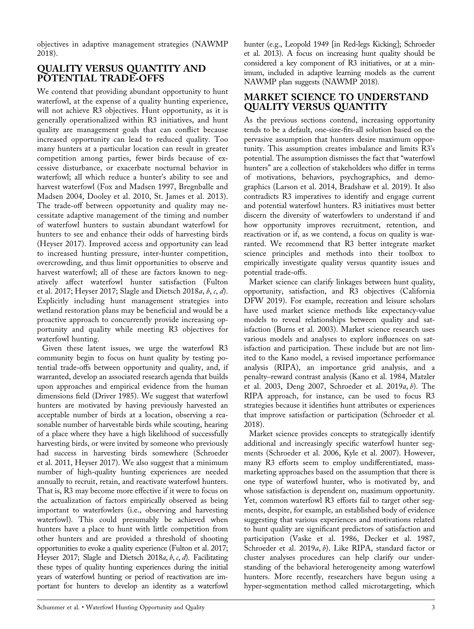objectives in adaptive management strategies (NAWMP 2018).

## QUALITY VERSUS QUANTITY AND POTENTIAL TRADE‐OFFS

We contend that providing abundant opportunity to hunt waterfowl, at the expense of a quality hunting experience, will not achieve R3 objectives. Hunt opportunity, as it is generally operationalized within R3 initiatives, and hunt quality are management goals that can conflict because increased opportunity can lead to reduced quality. Too many hunters at a particular location can result in greater competition among parties, fewer birds because of excessive disturbance, or exacerbate nocturnal behavior in waterfowl; all which reduce a hunter's ability to see and harvest waterfowl (Fox and Madsen 1997, Bregnballe and Madsen 2004, Dooley et al. 2010, St. James et al. 2013). The trade‐off between opportunity and quality may necessitate adaptive management of the timing and number of waterfowl hunters to sustain abundant waterfowl for hunters to see and enhance their odds of harvesting birds (Heyser 2017). Improved access and opportunity can lead to increased hunting pressure, inter-hunter competition, overcrowding, and thus limit opportunities to observe and harvest waterfowl; all of these are factors known to negatively affect waterfowl hunter satisfaction (Fulton et al. 2017; Heyser 2017; Slagle and Dietsch 2018a, b, c, d). Explicitly including hunt management strategies into wetland restoration plans may be beneficial and would be a proactive approach to concurrently provide increasing opportunity and quality while meeting R3 objectives for waterfowl hunting.

Given these latent issues, we urge the waterfowl R3 community begin to focus on hunt quality by testing potential trade‐offs between opportunity and quality, and, if warranted, develop an associated research agenda that builds upon approaches and empirical evidence from the human dimensions field (Driver 1985). We suggest that waterfowl hunters are motivated by having previously harvested an acceptable number of birds at a location, observing a reasonable number of harvestable birds while scouting, hearing of a place where they have a high likelihood of successfully harvesting birds, or were invited by someone who previously had success in harvesting birds somewhere (Schroeder et al. 2011, Heyser 2017). We also suggest that a minimum number of high‐quality hunting experiences are needed annually to recruit, retain, and reactivate waterfowl hunters. That is, R3 may become more effective if it were to focus on the actualization of factors empirically observed as being important to waterfowlers (i.e., observing and harvesting waterfowl). This could presumably be achieved when hunters have a place to hunt with little competition from other hunters and are provided a threshold of shooting opportunities to evoke a quality experience (Fulton et al. 2017; Heyser 2017; Slagle and Dietsch 2018a, b, c, d). Facilitating these types of quality hunting experiences during the initial years of waterfowl hunting or period of reactivation are important for hunters to develop an identity as a waterfowl hunter (e.g., Leopold 1949 [in Red‐legs Kicking]; Schroeder et al. 2013). A focus on increasing hunt quality should be considered a key component of R3 initiatives, or at a minimum, included in adaptive learning models as the current NAWMP plan suggests (NAWMP 2018).

## MARKET SCIENCE TO UNDERSTAND QUALITY VERSUS QUANTITY

As the previous sections contend, increasing opportunity tends to be a default, one‐size‐fits‐all solution based on the pervasive assumption that hunters desire maximum opportunity. This assumption creates imbalance and limits R3's potential. The assumption dismisses the fact that "waterfowl hunters" are a collection of stakeholders who differ in terms of motivations, behaviors, psychographics, and demographics (Larson et al. 2014, Bradshaw et al. 2019). It also contradicts R3 imperatives to identify and engage current and potential waterfowl hunters. R3 initiatives must better discern the diversity of waterfowlers to understand if and how opportunity improves recruitment, retention, and reactivation or if, as we contend, a focus on quality is warranted. We recommend that R3 better integrate market science principles and methods into their toolbox to empirically investigate quality versus quantity issues and potential trade‐offs.

Market science can clarify linkages between hunt quality, opportunity, satisfaction, and R3 objectives (California DFW 2019). For example, recreation and leisure scholars have used market science methods like expectancy-value models to reveal relationships between quality and satisfaction (Burns et al. 2003). Market science research uses various models and analyses to explore influences on satisfaction and participation. These include but are not limited to the Kano model, a revised importance performance analysis (RIPA), an importance grid analysis, and a penalty–reward contrast analysis (Kano et al. 1984, Matzler et al. 2003, Deng 2007, Schroeder et al. 2019a, b). The RIPA approach, for instance, can be used to focus R3 strategies because it identifies hunt attributes or experiences that improve satisfaction or participation (Schroeder et al. 2018).

Market science provides concepts to strategically identify additional and increasingly specific waterfowl hunter segments (Schroeder et al. 2006, Kyle et al. 2007). However, many R3 efforts seem to employ undifferentiated, massmarketing approaches based on the assumption that there is one type of waterfowl hunter, who is motivated by, and whose satisfaction is dependent on, maximum opportunity. Yet, common waterfowl R3 efforts fail to target other segments, despite, for example, an established body of evidence suggesting that various experiences and motivations related to hunt quality are significant predictors of satisfaction and participation (Vaske et al. 1986, Decker et al. 1987, Schroeder et al. 2019a, b). Like RIPA, standard factor or cluster analyses procedures can help clarify our understanding of the behavioral heterogeneity among waterfowl hunters. More recently, researchers have begun using a hyper-segmentation method called microtargeting, which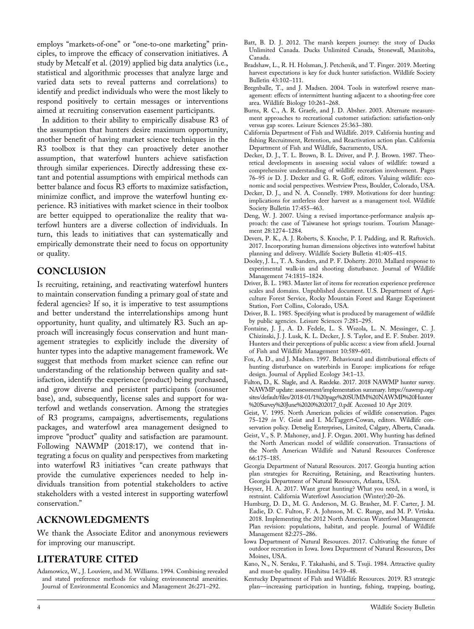employs "markets‐of‐one" or "one‐to‐one marketing" principles, to improve the efficacy of conservation initiatives. A study by Metcalf et al. (2019) applied big data analytics (i.e., statistical and algorithmic processes that analyze large and varied data sets to reveal patterns and correlations) to identify and predict individuals who were the most likely to respond positively to certain messages or interventions aimed at recruiting conservation easement participants.

In addition to their ability to empirically disabuse R3 of the assumption that hunters desire maximum opportunity, another benefit of having market science techniques in the R3 toolbox is that they can proactively deter another assumption, that waterfowl hunters achieve satisfaction through similar experiences. Directly addressing these extant and potential assumptions with empirical methods can better balance and focus R3 efforts to maximize satisfaction, minimize conflict, and improve the waterfowl hunting experience. R3 initiatives with market science in their toolbox are better equipped to operationalize the reality that waterfowl hunters are a diverse collection of individuals. In turn, this leads to initiatives that can systematically and empirically demonstrate their need to focus on opportunity or quality.

### **CONCLUSION**

Is recruiting, retaining, and reactivating waterfowl hunters to maintain conservation funding a primary goal of state and federal agencies? If so, it is imperative to test assumptions and better understand the interrelationships among hunt opportunity, hunt quality, and ultimately R3. Such an approach will increasingly focus conservation and hunt management strategies to explicitly include the diversity of hunter types into the adaptive management framework. We suggest that methods from market science can refine our understanding of the relationship between quality and satisfaction, identify the experience (product) being purchased, and grow diverse and persistent participants (consumer base), and, subsequently, license sales and support for waterfowl and wetlands conservation. Among the strategies of R3 programs, campaigns, advertisements, regulations packages, and waterfowl area management designed to improve "product" quality and satisfaction are paramount. Following NAWMP (2018:17), we contend that integrating a focus on quality and perspectives from marketing into waterfowl R3 initiatives "can create pathways that provide the cumulative experiences needed to help individuals transition from potential stakeholders to active stakeholders with a vested interest in supporting waterfowl conservation."

#### ACKNOWLEDGMENTS

We thank the Associate Editor and anonymous reviewers for improving our manuscript.

# LITERATURE CITED

Adamowicz, W., J. Louviere, and M. Williams. 1994. Combining revealed and stated preference methods for valuing environmental amenities. Journal of Environmental Economics and Management 26:271–292.

- Batt, B. D. J. 2012. The marsh keepers journey: the story of Ducks Unlimited Canada. Ducks Unlimited Canada, Stonewall, Manitoba, Canada.
- Bradshaw, L., R. H. Holsman, J. Petchenik, and T. Finger. 2019. Meeting harvest expectations is key for duck hunter satisfaction. Wildlife Society Bulletin 43:102–111.
- Bregnballe, T., and J. Madsen. 2004. Tools in waterfowl reserve management: effects of intermittent hunting adjacent to a shooting‐free core area. Wildlife Biology 10:261–268.
- Burns, R. C., A. R. Graefe, and J. D. Absher. 2003. Alternate measurement approaches to recreational customer satisfaction: satisfaction‐only versus gap scores. Leisure Sciences 25:363–380.
- California Department of Fish and Wildlife. 2019. California hunting and fishing Recruitment, Retention, and Reactivation action plan. California Department of Fish and Wildlife, Sacramento, USA.
- Decker, D. J., T. L. Brown, B. L. Driver, and P. J. Brown. 1987. Theoretical developments in assessing social values of wildlife: toward a comprehensive understanding of wildlife recreation involvement. Pages 76–95 in D. J. Decker and G. R. Goff, editors. Valuing wildlife: economic and social perspectives. Westview Press, Boulder, Colorado, USA.
- Decker, D. J., and N. A. Connelly. 1989. Motivations for deer hunting: implications for antlerless deer harvest as a management tool. Wildlife Society Bulletin 17:455–463.
- Deng, W. J. 2007. Using a revised importance-performance analysis approach: the case of Taiwanese hot springs tourism. Tourism Management 28:1274–1284.
- Devers, P. K., A. J. Roberts, S. Knoche, P. I. Padding, and R. Raftovich. 2017. Incorporating human dimensions objectives into waterfowl habitat planning and delivery. Wildlife Society Bulletin 41:405–415.
- Dooley, J. L., T. A. Sanders, and P. F. Doherty. 2010. Mallard response to experimental walk‐in and shooting disturbance. Journal of Wildlife Management 74:1815–1824.
- Driver, B. L. 1983. Master list of items for recreation experience preference scales and domains. Unpublished document. U.S. Department of Agriculture Forest Service, Rocky Mountain Forest and Range Experiment Station, Fort Collins, Colorado, USA.
- Driver, B. L. 1985. Specifying what is produced by management of wildlife by public agencies. Leisure Sciences 7:281–295.
- Fontaine, J. J., A. D. Fedele, L. S. Wszola, L. N. Messinger, C. J. Chizinski, J. J. Lusk, K. L. Decker, J. S. Taylor, and E. F. Stuber. 2019. Hunters and their perceptions of public access: a view from afield. Journal of Fish and Wildlife Management 10:589–601.
- Fox, A. D., and J. Madsen. 1997. Behavioural and distributional effects of hunting disturbance on waterbirds in Europe: implications for refuge design. Journal of Applied Ecology 34:1–13.
- Fulton, D., K. Slagle, and A. Raedeke. 2017. 2018 NAWMP hunter survey. NAWMP update: assessment/implementation summary. [https://nawmp.org/](https://nawmp.org/sites/default/files/2018-01/1%20page%20SUMM%20NAWMP%20Hunter%20Survey%20June%2020%202017_0.pdf) sites/default/files/2018‐[01/1%20page%20SUMM%20NAWMP%20Hunter](https://nawmp.org/sites/default/files/2018-01/1%20page%20SUMM%20NAWMP%20Hunter%20Survey%20June%2020%202017_0.pdf) [%20Survey%20June%2020%202017\\_0.pdf.](https://nawmp.org/sites/default/files/2018-01/1%20page%20SUMM%20NAWMP%20Hunter%20Survey%20June%2020%202017_0.pdf) Accessed 10 Apr 2019.
- Geist, V. 1995. North American policies of wildlife conservation. Pages 75–129 in V. Geist and I. McTaggert‐Cowan, editors. Wildlife conservation policy. Detselig Enterprises, Limited, Calgary, Alberta, Canada.
- Geist, V., S. P. Mahoney, and J. F. Organ. 2001. Why hunting has defined the North American model of wildlife conservation. Transactions of the North American Wildlife and Natural Resources Conference 66:175–185.
- Georgia Department of Natural Resources. 2017. Georgia hunting action plan strategies for Recruiting, Retaining, and Reactivating hunters. Georgia Department of Natural Resources, Atlanta, USA.
- Heyser, H. A. 2017. Want great hunting? What you need, in a word, is restraint. California Waterfowl Association (Winter):20–26.
- Humburg, D. D., M. G. Anderson, M. G. Brasher, M. F. Carter, J. M. Eadie, D. C. Fulton, F. A. Johnson, M. C. Runge, and M. P. Vrtiska. 2018. Implementing the 2012 North American Waterfowl Management Plan revision: populations, habitat, and people. Journal of Wildlife Management 82:275–286.
- Iowa Department of Natural Resources. 2017. Cultivating the future of outdoor recreation in Iowa. Iowa Department of Natural Resources, Des Moines, USA.
- Kano, N., N. Seraku, F. Takahashi, and S. Tsuji. 1984. Attractive quality and must‐be quality. Hinshitsu 14:39–48.
- Kentucky Department of Fish and Wildlife Resources. 2019. R3 strategic plan—increasing participation in hunting, fishing, trapping, boating,